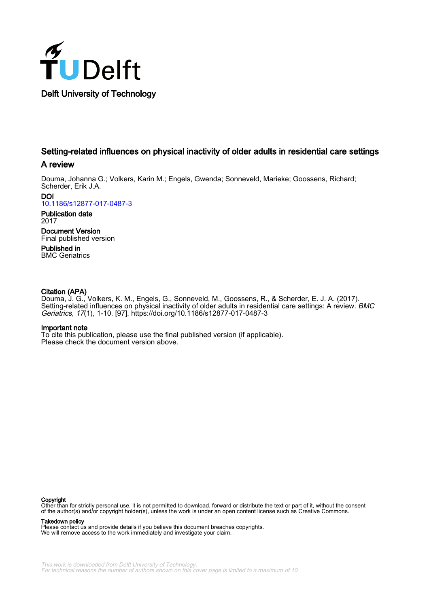

# Setting-related influences on physical inactivity of older adults in residential care settings

# A review

Douma, Johanna G.; Volkers, Karin M.; Engels, Gwenda; Sonneveld, Marieke; Goossens, Richard; Scherder, Erik J.A.

DOI [10.1186/s12877-017-0487-3](https://doi.org/10.1186/s12877-017-0487-3)

Publication date 2017

Document Version Final published version

Published in BMC Geriatrics

# Citation (APA)

Douma, J. G., Volkers, K. M., Engels, G., Sonneveld, M., Goossens, R., & Scherder, E. J. A. (2017). Setting-related influences on physical inactivity of older adults in residential care settings: A review. BMC Geriatrics, 17(1), 1-10. [97]. <https://doi.org/10.1186/s12877-017-0487-3>

# Important note

To cite this publication, please use the final published version (if applicable). Please check the document version above.

# **Copyright**

Other than for strictly personal use, it is not permitted to download, forward or distribute the text or part of it, without the consent of the author(s) and/or copyright holder(s), unless the work is under an open content license such as Creative Commons.

# Takedown policy

Please contact us and provide details if you believe this document breaches copyrights. We will remove access to the work immediately and investigate your claim.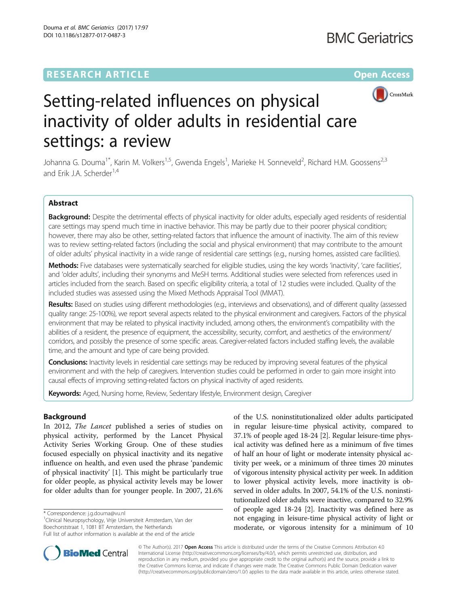# **RESEARCH ARTICLE External Structure Community Community Community Community Community Community Community Community**



# Setting-related influences on physical inactivity of older adults in residential care settings: a review

Johanna G. Douma<sup>1\*</sup>, Karin M. Volkers<sup>1,5</sup>, Gwenda Engels<sup>1</sup>, Marieke H. Sonneveld<sup>2</sup>, Richard H.M. Goossens<sup>2,3</sup> and Erik J.A. Scherder<sup>1,4</sup>

# Abstract

Background: Despite the detrimental effects of physical inactivity for older adults, especially aged residents of residential care settings may spend much time in inactive behavior. This may be partly due to their poorer physical condition; however, there may also be other, setting-related factors that influence the amount of inactivity. The aim of this review was to review setting-related factors (including the social and physical environment) that may contribute to the amount of older adults' physical inactivity in a wide range of residential care settings (e.g., nursing homes, assisted care facilities).

Methods: Five databases were systematically searched for eligible studies, using the key words 'inactivity', 'care facilities', and 'older adults', including their synonyms and MeSH terms. Additional studies were selected from references used in articles included from the search. Based on specific eligibility criteria, a total of 12 studies were included. Quality of the included studies was assessed using the Mixed Methods Appraisal Tool (MMAT).

Results: Based on studies using different methodologies (e.g., interviews and observations), and of different quality (assessed quality range: 25-100%), we report several aspects related to the physical environment and caregivers. Factors of the physical environment that may be related to physical inactivity included, among others, the environment's compatibility with the abilities of a resident, the presence of equipment, the accessibility, security, comfort, and aesthetics of the environment/ corridors, and possibly the presence of some specific areas. Caregiver-related factors included staffing levels, the available time, and the amount and type of care being provided.

Conclusions: Inactivity levels in residential care settings may be reduced by improving several features of the physical environment and with the help of caregivers. Intervention studies could be performed in order to gain more insight into causal effects of improving setting-related factors on physical inactivity of aged residents.

Keywords: Aged, Nursing home, Review, Sedentary lifestyle, Environment design, Caregiver

# Background

In 2012, The Lancet published a series of studies on physical activity, performed by the Lancet Physical Activity Series Working Group. One of these studies focused especially on physical inactivity and its negative influence on health, and even used the phrase 'pandemic of physical inactivity' [\[1](#page-9-0)]. This might be particularly true for older people, as physical activity levels may be lower for older adults than for younger people. In 2007, 21.6%

\* Correspondence: [j.g.douma@vu.nl](mailto:j.g.douma@vu.nl) <sup>1</sup>

Clinical Neuropsychology, Vrije Universiteit Amsterdam, Van der Boechorststraat 1, 1081 BT Amsterdam, the Netherlands

of the U.S. noninstitutionalized older adults participated in regular leisure-time physical activity, compared to 37.1% of people aged 18-24 [\[2](#page-9-0)]. Regular leisure-time physical activity was defined here as a minimum of five times of half an hour of light or moderate intensity physical activity per week, or a minimum of three times 20 minutes of vigorous intensity physical activity per week. In addition to lower physical activity levels, more inactivity is observed in older adults. In 2007, 54.1% of the U.S. noninstitutionalized older adults were inactive, compared to 32.9% of people aged 18-24 [\[2](#page-9-0)]. Inactivity was defined here as not engaging in leisure-time physical activity of light or moderate, or vigorous intensity for a minimum of 10



© The Author(s). 2017 **Open Access** This article is distributed under the terms of the Creative Commons Attribution 4.0 International License [\(http://creativecommons.org/licenses/by/4.0/](http://creativecommons.org/licenses/by/4.0/)), which permits unrestricted use, distribution, and reproduction in any medium, provided you give appropriate credit to the original author(s) and the source, provide a link to the Creative Commons license, and indicate if changes were made. The Creative Commons Public Domain Dedication waiver [\(http://creativecommons.org/publicdomain/zero/1.0/](http://creativecommons.org/publicdomain/zero/1.0/)) applies to the data made available in this article, unless otherwise stated.

Full list of author information is available at the end of the article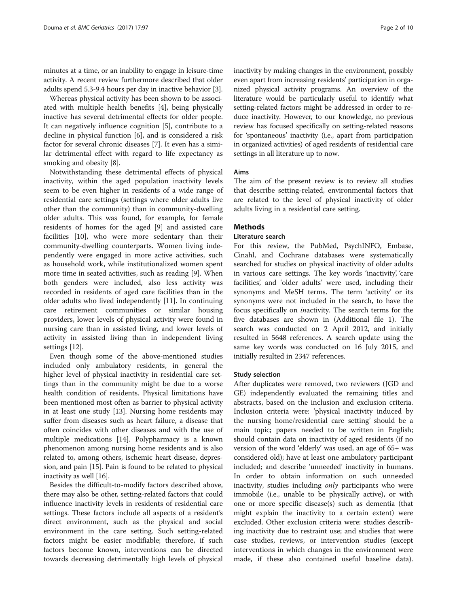minutes at a time, or an inability to engage in leisure-time activity. A recent review furthermore described that older adults spend 5.3-9.4 hours per day in inactive behavior [\[3](#page-9-0)].

Whereas physical activity has been shown to be associated with multiple health benefits [\[4](#page-9-0)], being physically inactive has several detrimental effects for older people. It can negatively influence cognition [[5\]](#page-9-0), contribute to a decline in physical function [[6\]](#page-9-0), and is considered a risk factor for several chronic diseases [\[7](#page-9-0)]. It even has a similar detrimental effect with regard to life expectancy as smoking and obesity [[8\]](#page-9-0).

Notwithstanding these detrimental effects of physical inactivity, within the aged population inactivity levels seem to be even higher in residents of a wide range of residential care settings (settings where older adults live other than the community) than in community-dwelling older adults. This was found, for example, for female residents of homes for the aged [\[9](#page-9-0)] and assisted care facilities [[10\]](#page-9-0), who were more sedentary than their community-dwelling counterparts. Women living independently were engaged in more active activities, such as household work, while institutionalized women spent more time in seated activities, such as reading [\[9](#page-9-0)]. When both genders were included, also less activity was recorded in residents of aged care facilities than in the older adults who lived independently [\[11\]](#page-9-0). In continuing care retirement communities or similar housing providers, lower levels of physical activity were found in nursing care than in assisted living, and lower levels of activity in assisted living than in independent living settings [[12\]](#page-9-0).

Even though some of the above-mentioned studies included only ambulatory residents, in general the higher level of physical inactivity in residential care settings than in the community might be due to a worse health condition of residents. Physical limitations have been mentioned most often as barrier to physical activity in at least one study [\[13](#page-9-0)]. Nursing home residents may suffer from diseases such as heart failure, a disease that often coincides with other diseases and with the use of multiple medications [\[14\]](#page-9-0). Polypharmacy is a known phenomenon among nursing home residents and is also related to, among others, ischemic heart disease, depression, and pain [[15](#page-9-0)]. Pain is found to be related to physical inactivity as well [\[16\]](#page-9-0).

Besides the difficult-to-modify factors described above, there may also be other, setting-related factors that could influence inactivity levels in residents of residential care settings. These factors include all aspects of a resident's direct environment, such as the physical and social environment in the care setting. Such setting-related factors might be easier modifiable; therefore, if such factors become known, interventions can be directed towards decreasing detrimentally high levels of physical inactivity by making changes in the environment, possibly even apart from increasing residents' participation in organized physical activity programs. An overview of the literature would be particularly useful to identify what setting-related factors might be addressed in order to reduce inactivity. However, to our knowledge, no previous review has focused specifically on setting-related reasons for 'spontaneous' inactivity (i.e., apart from participation in organized activities) of aged residents of residential care settings in all literature up to now.

# Aims

The aim of the present review is to review all studies that describe setting-related, environmental factors that are related to the level of physical inactivity of older adults living in a residential care setting.

# **Methods**

## Literature search

For this review, the PubMed, PsychINFO, Embase, Cinahl, and Cochrane databases were systematically searched for studies on physical inactivity of older adults in various care settings. The key words 'inactivity', 'care facilities', and 'older adults' were used, including their synonyms and MeSH terms. The term 'activity' or its synonyms were not included in the search, to have the focus specifically on inactivity. The search terms for the five databases are shown in (Additional file [1](#page-8-0)). The search was conducted on 2 April 2012, and initially resulted in 5648 references. A search update using the same key words was conducted on 16 July 2015, and initially resulted in 2347 references.

#### Study selection

After duplicates were removed, two reviewers (JGD and GE) independently evaluated the remaining titles and abstracts, based on the inclusion and exclusion criteria. Inclusion criteria were: 'physical inactivity induced by the nursing home/residential care setting' should be a main topic; papers needed to be written in English; should contain data on inactivity of aged residents (if no version of the word 'elderly' was used, an age of 65+ was considered old); have at least one ambulatory participant included; and describe 'unneeded' inactivity in humans. In order to obtain information on such unneeded inactivity, studies including only participants who were immobile (i.e., unable to be physically active), or with one or more specific disease(s) such as dementia (that might explain the inactivity to a certain extent) were excluded. Other exclusion criteria were: studies describing inactivity due to restraint use; and studies that were case studies, reviews, or intervention studies (except interventions in which changes in the environment were made, if these also contained useful baseline data).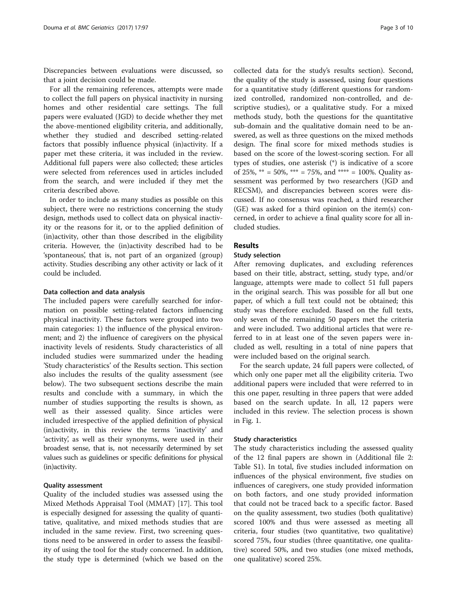Discrepancies between evaluations were discussed, so that a joint decision could be made.

For all the remaining references, attempts were made to collect the full papers on physical inactivity in nursing homes and other residential care settings. The full papers were evaluated (JGD) to decide whether they met the above-mentioned eligibility criteria, and additionally, whether they studied and described setting-related factors that possibly influence physical (in)activity. If a paper met these criteria, it was included in the review. Additional full papers were also collected; these articles were selected from references used in articles included from the search, and were included if they met the criteria described above.

In order to include as many studies as possible on this subject, there were no restrictions concerning the study design, methods used to collect data on physical inactivity or the reasons for it, or to the applied definition of (in)activity, other than those described in the eligibility criteria. However, the (in)activity described had to be 'spontaneous', that is, not part of an organized (group) activity. Studies describing any other activity or lack of it could be included.

## Data collection and data analysis

The included papers were carefully searched for information on possible setting-related factors influencing physical inactivity. These factors were grouped into two main categories: 1) the influence of the physical environment; and 2) the influence of caregivers on the physical inactivity levels of residents. Study characteristics of all included studies were summarized under the heading 'Study characteristics' of the Results section. This section also includes the results of the quality assessment (see below). The two subsequent sections describe the main results and conclude with a summary, in which the number of studies supporting the results is shown, as well as their assessed quality. Since articles were included irrespective of the applied definition of physical (in)activity, in this review the terms 'inactivity' and 'activity', as well as their synonyms, were used in their broadest sense, that is, not necessarily determined by set values such as guidelines or specific definitions for physical (in)activity.

# Quality assessment

Quality of the included studies was assessed using the Mixed Methods Appraisal Tool (MMAT) [[17](#page-9-0)]. This tool is especially designed for assessing the quality of quantitative, qualitative, and mixed methods studies that are included in the same review. First, two screening questions need to be answered in order to assess the feasibility of using the tool for the study concerned. In addition, the study type is determined (which we based on the

collected data for the study's results section). Second, the quality of the study is assessed, using four questions for a quantitative study (different questions for randomized controlled, randomized non-controlled, and descriptive studies), or a qualitative study. For a mixed methods study, both the questions for the quantitative sub-domain and the qualitative domain need to be answered, as well as three questions on the mixed methods design. The final score for mixed methods studies is based on the score of the lowest-scoring section. For all types of studies, one asterisk (\*) is indicative of a score of 25%,  $** = 50\%$ ,  $*** = 75\%$ , and  $*** = 100\%$ . Quality assessment was performed by two researchers (JGD and RECSM), and discrepancies between scores were discussed. If no consensus was reached, a third researcher (GE) was asked for a third opinion on the item(s) concerned, in order to achieve a final quality score for all included studies.

# Results

# Study selection

After removing duplicates, and excluding references based on their title, abstract, setting, study type, and/or language, attempts were made to collect 51 full papers in the original search. This was possible for all but one paper, of which a full text could not be obtained; this study was therefore excluded. Based on the full texts, only seven of the remaining 50 papers met the criteria and were included. Two additional articles that were referred to in at least one of the seven papers were included as well, resulting in a total of nine papers that were included based on the original search.

For the search update, 24 full papers were collected, of which only one paper met all the eligibility criteria. Two additional papers were included that were referred to in this one paper, resulting in three papers that were added based on the search update. In all, 12 papers were included in this review. The selection process is shown in Fig. [1](#page-4-0).

# Study characteristics

The study characteristics including the assessed quality of the 12 final papers are shown in (Additional file [2](#page-8-0): Table S1). In total, five studies included information on influences of the physical environment, five studies on influences of caregivers, one study provided information on both factors, and one study provided information that could not be traced back to a specific factor. Based on the quality assessment, two studies (both qualitative) scored 100% and thus were assessed as meeting all criteria, four studies (two quantitative, two qualitative) scored 75%, four studies (three quantitative, one qualitative) scored 50%, and two studies (one mixed methods, one qualitative) scored 25%.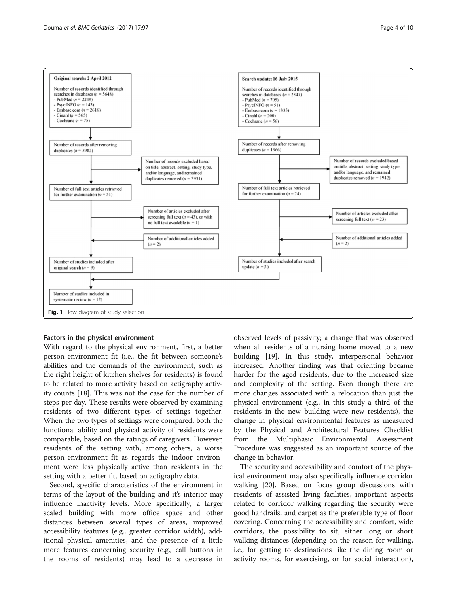<span id="page-4-0"></span>

#### Factors in the physical environment

With regard to the physical environment, first, a better person-environment fit (i.e., the fit between someone's abilities and the demands of the environment, such as the right height of kitchen shelves for residents) is found to be related to more activity based on actigraphy activity counts [[18\]](#page-9-0). This was not the case for the number of steps per day. These results were observed by examining residents of two different types of settings together. When the two types of settings were compared, both the functional ability and physical activity of residents were comparable, based on the ratings of caregivers. However, residents of the setting with, among others, a worse person-environment fit as regards the indoor environment were less physically active than residents in the setting with a better fit, based on actigraphy data.

Second, specific characteristics of the environment in terms of the layout of the building and it's interior may influence inactivity levels. More specifically, a larger scaled building with more office space and other distances between several types of areas, improved accessibility features (e.g., greater corridor width), additional physical amenities, and the presence of a little more features concerning security (e.g., call buttons in the rooms of residents) may lead to a decrease in

observed levels of passivity; a change that was observed when all residents of a nursing home moved to a new building [[19\]](#page-9-0). In this study, interpersonal behavior increased. Another finding was that orienting became harder for the aged residents, due to the increased size and complexity of the setting. Even though there are more changes associated with a relocation than just the physical environment (e.g., in this study a third of the residents in the new building were new residents), the change in physical environmental features as measured by the Physical and Architectural Features Checklist from the Multiphasic Environmental Assessment Procedure was suggested as an important source of the change in behavior.

The security and accessibility and comfort of the physical environment may also specifically influence corridor walking [\[20\]](#page-9-0). Based on focus group discussions with residents of assisted living facilities, important aspects related to corridor walking regarding the security were good handrails, and carpet as the preferable type of floor covering. Concerning the accessibility and comfort, wide corridors, the possibility to sit, either long or short walking distances (depending on the reason for walking, i.e., for getting to destinations like the dining room or activity rooms, for exercising, or for social interaction),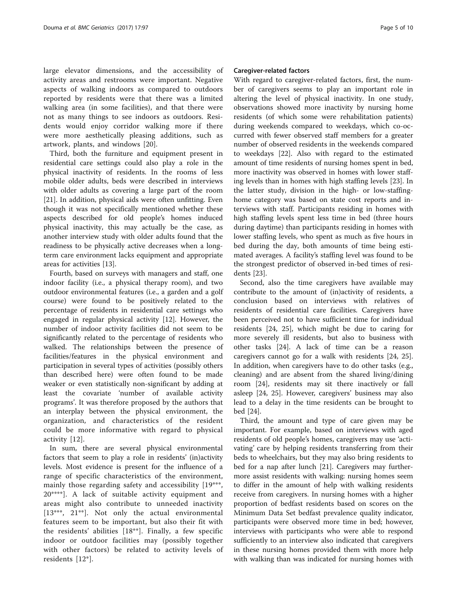large elevator dimensions, and the accessibility of activity areas and restrooms were important. Negative aspects of walking indoors as compared to outdoors reported by residents were that there was a limited walking area (in some facilities), and that there were not as many things to see indoors as outdoors. Residents would enjoy corridor walking more if there were more aesthetically pleasing additions, such as artwork, plants, and windows [[20\]](#page-9-0).

Third, both the furniture and equipment present in residential care settings could also play a role in the physical inactivity of residents. In the rooms of less mobile older adults, beds were described in interviews with older adults as covering a large part of the room [[21\]](#page-9-0). In addition, physical aids were often unfitting. Even though it was not specifically mentioned whether these aspects described for old people's homes induced physical inactivity, this may actually be the case, as another interview study with older adults found that the readiness to be physically active decreases when a longterm care environment lacks equipment and appropriate areas for activities [[13](#page-9-0)].

Fourth, based on surveys with managers and staff, one indoor facility (i.e., a physical therapy room), and two outdoor environmental features (i.e., a garden and a golf course) were found to be positively related to the percentage of residents in residential care settings who engaged in regular physical activity [\[12\]](#page-9-0). However, the number of indoor activity facilities did not seem to be significantly related to the percentage of residents who walked. The relationships between the presence of facilities/features in the physical environment and participation in several types of activities (possibly others than described here) were often found to be made weaker or even statistically non-significant by adding at least the covariate 'number of available activity programs'. It was therefore proposed by the authors that an interplay between the physical environment, the organization, and characteristics of the resident could be more informative with regard to physical activity [[12\]](#page-9-0).

In sum, there are several physical environmental factors that seem to play a role in residents' (in)activity levels. Most evidence is present for the influence of a range of specific characteristics of the environment, mainly those regarding safety and accessibility [[19](#page-9-0)\*\*\*, [20\\*](#page-9-0)\*\*\*]. A lack of suitable activity equipment and areas might also contribute to unneeded inactivity [[13](#page-9-0)\*\*\*, [21](#page-9-0)\*\*]. Not only the actual environmental features seem to be important, but also their fit with the residents' abilities [[18](#page-9-0)\*\*]. Finally, a few specific indoor or outdoor facilities may (possibly together with other factors) be related to activity levels of residents [[12](#page-9-0)\*].

# Caregiver-related factors

With regard to caregiver-related factors, first, the number of caregivers seems to play an important role in altering the level of physical inactivity. In one study, observations showed more inactivity by nursing home residents (of which some were rehabilitation patients) during weekends compared to weekdays, which co-occurred with fewer observed staff members for a greater number of observed residents in the weekends compared to weekdays [\[22\]](#page-9-0). Also with regard to the estimated amount of time residents of nursing homes spent in bed, more inactivity was observed in homes with lower staffing levels than in homes with high staffing levels [[23](#page-9-0)]. In the latter study, division in the high- or low-staffinghome category was based on state cost reports and interviews with staff. Participants residing in homes with high staffing levels spent less time in bed (three hours during daytime) than participants residing in homes with lower staffing levels, who spent as much as five hours in bed during the day, both amounts of time being estimated averages. A facility's staffing level was found to be the strongest predictor of observed in-bed times of residents [[23\]](#page-9-0).

Second, also the time caregivers have available may contribute to the amount of (in)activity of residents, a conclusion based on interviews with relatives of residents of residential care facilities. Caregivers have been perceived not to have sufficient time for individual residents [[24, 25](#page-9-0)], which might be due to caring for more severely ill residents, but also to business with other tasks [[24](#page-9-0)]. A lack of time can be a reason caregivers cannot go for a walk with residents [\[24](#page-9-0), [25](#page-9-0)]. In addition, when caregivers have to do other tasks (e.g., cleaning) and are absent from the shared living/dining room [\[24](#page-9-0)], residents may sit there inactively or fall asleep [\[24, 25](#page-9-0)]. However, caregivers' business may also lead to a delay in the time residents can be brought to bed [[24](#page-9-0)].

Third, the amount and type of care given may be important. For example, based on interviews with aged residents of old people's homes, caregivers may use 'activating' care by helping residents transferring from their beds to wheelchairs, but they may also bring residents to bed for a nap after lunch [[21\]](#page-9-0). Caregivers may furthermore assist residents with walking: nursing homes seem to differ in the amount of help with walking residents receive from caregivers. In nursing homes with a higher proportion of bedfast residents based on scores on the Minimum Data Set bedfast prevalence quality indicator, participants were observed more time in bed; however, interviews with participants who were able to respond sufficiently to an interview also indicated that caregivers in these nursing homes provided them with more help with walking than was indicated for nursing homes with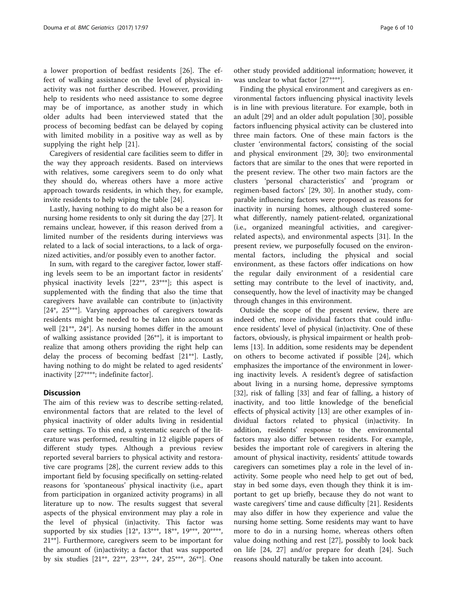a lower proportion of bedfast residents [[26\]](#page-9-0). The effect of walking assistance on the level of physical inactivity was not further described. However, providing help to residents who need assistance to some degree may be of importance, as another study in which older adults had been interviewed stated that the process of becoming bedfast can be delayed by coping with limited mobility in a positive way as well as by supplying the right help [[21](#page-9-0)].

Caregivers of residential care facilities seem to differ in the way they approach residents. Based on interviews with relatives, some caregivers seem to do only what they should do, whereas others have a more active approach towards residents, in which they, for example, invite residents to help wiping the table [\[24\]](#page-9-0).

Lastly, having nothing to do might also be a reason for nursing home residents to only sit during the day [[27\]](#page-9-0). It remains unclear, however, if this reason derived from a limited number of the residents during interviews was related to a lack of social interactions, to a lack of organized activities, and/or possibly even to another factor.

In sum, with regard to the caregiver factor, lower staffing levels seem to be an important factor in residents' physical inactivity levels [[22\\*](#page-9-0)\*, [23\\*](#page-9-0)\*\*]; this aspect is supplemented with the finding that also the time that caregivers have available can contribute to (in)activity [[24\\*](#page-9-0), [25](#page-9-0)\*\*\*]. Varying approaches of caregivers towards residents might be needed to be taken into account as well [[21\\*](#page-9-0)\*, [24\\*](#page-9-0)]. As nursing homes differ in the amount of walking assistance provided [\[26\\*](#page-9-0)\*], it is important to realize that among others providing the right help can delay the process of becoming bedfast [\[21\\*](#page-9-0)\*]. Lastly, having nothing to do might be related to aged residents' inactivity [[27\\*](#page-9-0)\*\*\*; indefinite factor].

# **Discussion**

The aim of this review was to describe setting-related, environmental factors that are related to the level of physical inactivity of older adults living in residential care settings. To this end, a systematic search of the literature was performed, resulting in 12 eligible papers of different study types. Although a previous review reported several barriers to physical activity and restorative care programs [[28](#page-9-0)], the current review adds to this important field by focusing specifically on setting-related reasons for 'spontaneous' physical inactivity (i.e., apart from participation in organized activity programs) in all literature up to now. The results suggest that several aspects of the physical environment may play a role in the level of physical (in)activity. This factor was supported by six studies [\[12\\*](#page-9-0), [13\\*](#page-9-0)\*\*, [18\\*](#page-9-0)\*, [19](#page-9-0)\*\*\*, [20](#page-9-0)\*\*\*\*, [21\\*](#page-9-0)\*]. Furthermore, caregivers seem to be important for the amount of (in)activity; a factor that was supported by six studies [\[21\\*](#page-9-0)\*, [22\\*](#page-9-0)\*, [23\\*](#page-9-0)\*\*, [24](#page-9-0)\*, [25](#page-9-0)\*\*\*, [26\\*](#page-9-0)\*]. One

other study provided additional information; however, it was unclear to what factor [[27](#page-9-0)\*\*\*\*].

Finding the physical environment and caregivers as environmental factors influencing physical inactivity levels is in line with previous literature. For example, both in an adult [\[29\]](#page-9-0) and an older adult population [\[30\]](#page-9-0), possible factors influencing physical activity can be clustered into three main factors. One of these main factors is the cluster 'environmental factors', consisting of the social and physical environment [\[29](#page-9-0), [30](#page-9-0)]; two environmental factors that are similar to the ones that were reported in the present review. The other two main factors are the clusters 'personal characteristics' and 'program or regimen-based factors' [\[29](#page-9-0), [30](#page-9-0)]. In another study, comparable influencing factors were proposed as reasons for inactivity in nursing homes, although clustered somewhat differently, namely patient-related, organizational (i.e., organized meaningful activities, and caregiverrelated aspects), and environmental aspects [[31\]](#page-9-0). In the present review, we purposefully focused on the environmental factors, including the physical and social environment, as these factors offer indications on how the regular daily environment of a residential care setting may contribute to the level of inactivity, and, consequently, how the level of inactivity may be changed through changes in this environment.

Outside the scope of the present review, there are indeed other, more individual factors that could influence residents' level of physical (in)activity. One of these factors, obviously, is physical impairment or health problems [[13\]](#page-9-0). In addition, some residents may be dependent on others to become activated if possible [[24\]](#page-9-0), which emphasizes the importance of the environment in lowering inactivity levels. A resident's degree of satisfaction about living in a nursing home, depressive symptoms [[32\]](#page-9-0), risk of falling [[33](#page-9-0)] and fear of falling, a history of inactivity, and too little knowledge of the beneficial effects of physical activity [\[13](#page-9-0)] are other examples of individual factors related to physical (in)activity. In addition, residents' response to the environmental factors may also differ between residents. For example, besides the important role of caregivers in altering the amount of physical inactivity, residents' attitude towards caregivers can sometimes play a role in the level of inactivity. Some people who need help to get out of bed, stay in bed some days, even though they think it is important to get up briefly, because they do not want to waste caregivers' time and cause difficulty [[21\]](#page-9-0). Residents may also differ in how they experience and value the nursing home setting. Some residents may want to have more to do in a nursing home, whereas others often value doing nothing and rest [[27\]](#page-9-0), possibly to look back on life [\[24](#page-9-0), [27\]](#page-9-0) and/or prepare for death [[24](#page-9-0)]. Such reasons should naturally be taken into account.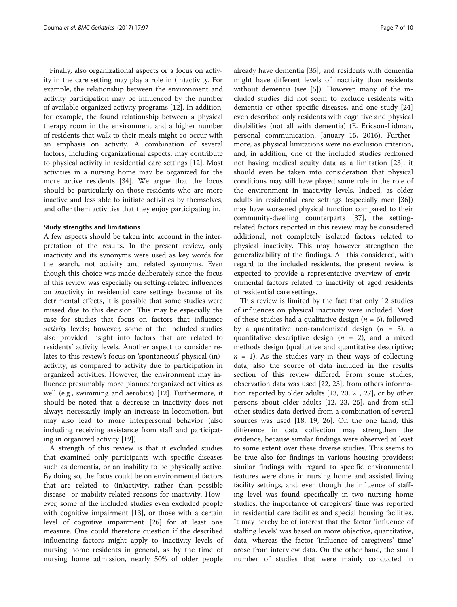Finally, also organizational aspects or a focus on activity in the care setting may play a role in (in)activity. For example, the relationship between the environment and activity participation may be influenced by the number of available organized activity programs [[12\]](#page-9-0). In addition, for example, the found relationship between a physical therapy room in the environment and a higher number of residents that walk to their meals might co-occur with an emphasis on activity. A combination of several factors, including organizational aspects, may contribute to physical activity in residential care settings [[12\]](#page-9-0). Most activities in a nursing home may be organized for the more active residents [[34\]](#page-9-0). We argue that the focus should be particularly on those residents who are more inactive and less able to initiate activities by themselves, and offer them activities that they enjoy participating in.

## Study strengths and limitations

A few aspects should be taken into account in the interpretation of the results. In the present review, only inactivity and its synonyms were used as key words for the search, not activity and related synonyms. Even though this choice was made deliberately since the focus of this review was especially on setting-related influences on inactivity in residential care settings because of its detrimental effects, it is possible that some studies were missed due to this decision. This may be especially the case for studies that focus on factors that influence activity levels; however, some of the included studies also provided insight into factors that are related to residents' activity levels. Another aspect to consider relates to this review's focus on 'spontaneous' physical (in) activity, as compared to activity due to participation in organized activities. However, the environment may influence presumably more planned/organized activities as well (e.g., swimming and aerobics) [[12\]](#page-9-0). Furthermore, it should be noted that a decrease in inactivity does not always necessarily imply an increase in locomotion, but may also lead to more interpersonal behavior (also including receiving assistance from staff and participating in organized activity [\[19](#page-9-0)]).

A strength of this review is that it excluded studies that examined only participants with specific diseases such as dementia, or an inability to be physically active. By doing so, the focus could be on environmental factors that are related to (in)activity, rather than possible disease- or inability-related reasons for inactivity. However, some of the included studies even excluded people with cognitive impairment [\[13](#page-9-0)], or those with a certain level of cognitive impairment [[26\]](#page-9-0) for at least one measure. One could therefore question if the described influencing factors might apply to inactivity levels of nursing home residents in general, as by the time of nursing home admission, nearly 50% of older people

already have dementia [\[35\]](#page-9-0), and residents with dementia might have different levels of inactivity than residents without dementia (see [[5\]](#page-9-0)). However, many of the included studies did not seem to exclude residents with dementia or other specific diseases, and one study [[24](#page-9-0)] even described only residents with cognitive and physical disabilities (not all with dementia) (E. Ericson-Lidman, personal communication, January 15, 2016). Furthermore, as physical limitations were no exclusion criterion, and, in addition, one of the included studies reckoned not having medical acuity data as a limitation [[23\]](#page-9-0), it should even be taken into consideration that physical conditions may still have played some role in the role of the environment in inactivity levels. Indeed, as older adults in residential care settings (especially men [\[36](#page-9-0)]) may have worsened physical function compared to their community-dwelling counterparts [\[37\]](#page-9-0), the settingrelated factors reported in this review may be considered additional, not completely isolated factors related to physical inactivity. This may however strengthen the generalizability of the findings. All this considered, with regard to the included residents, the present review is expected to provide a representative overview of environmental factors related to inactivity of aged residents of residential care settings.

This review is limited by the fact that only 12 studies of influences on physical inactivity were included. Most of these studies had a qualitative design ( $n = 6$ ), followed by a quantitative non-randomized design  $(n = 3)$ , a quantitative descriptive design  $(n = 2)$ , and a mixed methods design (qualitative and quantitative descriptive;  $n = 1$ ). As the studies vary in their ways of collecting data, also the source of data included in the results section of this review differed. From some studies, observation data was used [\[22](#page-9-0), [23](#page-9-0)], from others information reported by older adults [\[13](#page-9-0), [20](#page-9-0), [21](#page-9-0), [27](#page-9-0)], or by other persons about older adults [[12](#page-9-0), [23](#page-9-0), [25\]](#page-9-0), and from still other studies data derived from a combination of several sources was used [[18, 19, 26\]](#page-9-0). On the one hand, this difference in data collection may strengthen the evidence, because similar findings were observed at least to some extent over these diverse studies. This seems to be true also for findings in various housing providers: similar findings with regard to specific environmental features were done in nursing home and assisted living facility settings, and, even though the influence of staffing level was found specifically in two nursing home studies, the importance of caregivers' time was reported in residential care facilities and special housing facilities. It may hereby be of interest that the factor 'influence of staffing levels' was based on more objective, quantitative, data, whereas the factor 'influence of caregivers' time' arose from interview data. On the other hand, the small number of studies that were mainly conducted in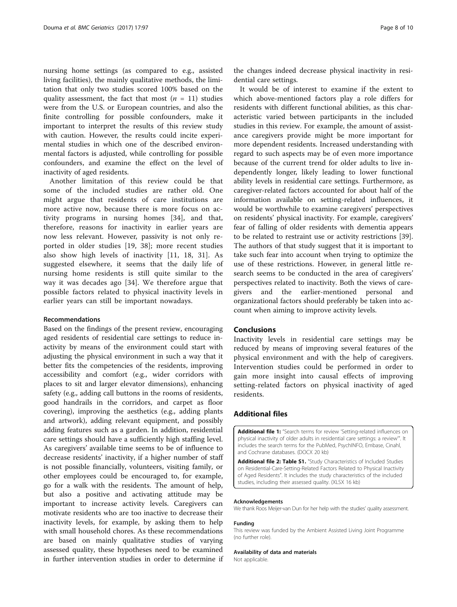<span id="page-8-0"></span>nursing home settings (as compared to e.g., assisted living facilities), the mainly qualitative methods, the limitation that only two studies scored 100% based on the quality assessment, the fact that most ( $n = 11$ ) studies were from the U.S. or European countries, and also the finite controlling for possible confounders, make it important to interpret the results of this review study with caution. However, the results could incite experimental studies in which one of the described environmental factors is adjusted, while controlling for possible confounders, and examine the effect on the level of inactivity of aged residents.

Another limitation of this review could be that some of the included studies are rather old. One might argue that residents of care institutions are more active now, because there is more focus on activity programs in nursing homes [[34\]](#page-9-0), and that, therefore, reasons for inactivity in earlier years are now less relevant. However, passivity is not only reported in older studies [[19,](#page-9-0) [38](#page-10-0)]; more recent studies also show high levels of inactivity [\[11](#page-9-0), [18, 31](#page-9-0)]. As suggested elsewhere, it seems that the daily life of nursing home residents is still quite similar to the way it was decades ago [[34\]](#page-9-0). We therefore argue that possible factors related to physical inactivity levels in earlier years can still be important nowadays.

#### Recommendations

Based on the findings of the present review, encouraging aged residents of residential care settings to reduce inactivity by means of the environment could start with adjusting the physical environment in such a way that it better fits the competencies of the residents, improving accessibility and comfort (e.g., wider corridors with places to sit and larger elevator dimensions), enhancing safety (e.g., adding call buttons in the rooms of residents, good handrails in the corridors, and carpet as floor covering), improving the aesthetics (e.g., adding plants and artwork), adding relevant equipment, and possibly adding features such as a garden. In addition, residential care settings should have a sufficiently high staffing level. As caregivers' available time seems to be of influence to decrease residents' inactivity, if a higher number of staff is not possible financially, volunteers, visiting family, or other employees could be encouraged to, for example, go for a walk with the residents. The amount of help, but also a positive and activating attitude may be important to increase activity levels. Caregivers can motivate residents who are too inactive to decrease their inactivity levels, for example, by asking them to help with small household chores. As these recommendations are based on mainly qualitative studies of varying assessed quality, these hypotheses need to be examined in further intervention studies in order to determine if the changes indeed decrease physical inactivity in residential care settings.

It would be of interest to examine if the extent to which above-mentioned factors play a role differs for residents with different functional abilities, as this characteristic varied between participants in the included studies in this review. For example, the amount of assistance caregivers provide might be more important for more dependent residents. Increased understanding with regard to such aspects may be of even more importance because of the current trend for older adults to live independently longer, likely leading to lower functional ability levels in residential care settings. Furthermore, as caregiver-related factors accounted for about half of the information available on setting-related influences, it would be worthwhile to examine caregivers' perspectives on residents' physical inactivity. For example, caregivers' fear of falling of older residents with dementia appears to be related to restraint use or activity restrictions [\[39](#page-10-0)]. The authors of that study suggest that it is important to take such fear into account when trying to optimize the use of these restrictions. However, in general little research seems to be conducted in the area of caregivers' perspectives related to inactivity. Both the views of caregivers and the earlier-mentioned personal and organizational factors should preferably be taken into account when aiming to improve activity levels.

# Conclusions

Inactivity levels in residential care settings may be reduced by means of improving several features of the physical environment and with the help of caregivers. Intervention studies could be performed in order to gain more insight into causal effects of improving setting-related factors on physical inactivity of aged residents.

# Additional files

[Additional file 1:](dx.doi.org/10.1186/s12877-017-0487-3) "Search terms for review 'Setting-related influences on physical inactivity of older adults in residential care settings: a review'". It includes the search terms for the PubMed, PsychINFO, Embase, Cinahl, and Cochrane databases. (DOCX 20 kb)

[Additional file 2: Table S1.](dx.doi.org/10.1186/s12877-017-0487-3) "Study Characteristics of Included Studies on Residential-Care-Setting-Related Factors Related to Physical Inactivity of Aged Residents". It includes the study characteristics of the included studies, including their assessed quality. (XLSX 16 kb)

#### Acknowledgements

We thank Roos Meijer-van Dun for her help with the studies' quality assessment.

#### Funding

This review was funded by the Ambient Assisted Living Joint Programme (no further role).

# Availability of data and materials

Not applicable.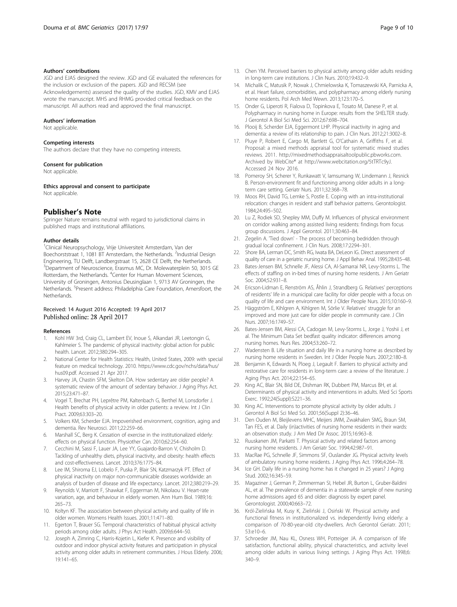#### <span id="page-9-0"></span>Authors' contributions

JGD and EJAS designed the review. JGD and GE evaluated the references for the inclusion or exclusion of the papers. JGD and RECSM (see Acknowledgements) assessed the quality of the studies. JGD, KMV and EJAS wrote the manuscript. MHS and RHMG provided critical feedback on the manuscript. All authors read and approved the final manuscript.

#### Authors' information

Not applicable.

#### Competing interests

The authors declare that they have no competing interests.

#### Consent for publication

Not applicable.

#### Ethics approval and consent to participate

Not applicable.

# Publisher's Note

Springer Nature remains neutral with regard to jurisdictional claims in published maps and institutional affiliations.

#### Author details

<sup>1</sup>Clinical Neuropsychology, Vrije Universiteit Amsterdam, Van der Boechorststraat 1, 1081 BT Amsterdam, the Netherlands. <sup>2</sup>Industrial Design Engineering, TU Delft, Landbergstraat 15, 2628 CE Delft, the Netherlands. <sup>3</sup>Department of Neuroscience, Erasmus MC, Dr. Molewaterplein 50, 3015 GE Rotterdam, the Netherlands. <sup>4</sup>Center for Human Movement Sciences, University of Groningen, Antonius Deusinglaan 1, 9713 AV Groningen, the Netherlands. <sup>5</sup>Present address: Philadelphia Care Foundation, Amersfoort, the **Netherlands** 

#### Received: 14 August 2016 Accepted: 19 April 2017 Published online: 28 April 2017

#### References

- 1. Kohl HW 3rd, Craig CL, Lambert EV, Inoue S, Alkandari JR, Leetongin G, Kahlmeier S. The pandemic of physical inactivity: global action for public health. Lancet. 2012;380:294–305.
- 2. National Center for Health Statistics: Health, United States, 2009: with special feature on medical technology. 2010. [https://www.cdc.gov/nchs/data/hus/](https://www.cdc.gov/nchs/data/hus/hus09.pdf) [hus09.pdf](https://www.cdc.gov/nchs/data/hus/hus09.pdf). Accessed 21 Apr 2017.
- 3. Harvey JA, Chastin SFM, Skelton DA. How sedentary are older people? A systematic review of the amount of sedentary behavior. J Aging Phys Act. 2015;23:471–87.
- 4. Vogel T, Brechat PH, Leprêtre PM, Kaltenbach G, Berthel M, Lonsdorfer J. Health benefits of physical activity in older patients: a review. Int J Clin Pract. 2009;63:303–20.
- 5. Volkers KM, Scherder EJA. Impoverished environment, cognition, aging and dementia. Rev Neurosci. 2011;22:259–66.
- Marshall SC, Berg K. Cessation of exercise in the institutionalized elderly: effects on physical function. Physiother Can. 2010;62:254–60.
- 7. Cecchini M, Sassi F, Lauer JA, Lee YY, Guajardo-Barron V, Chisholm D. Tackling of unhealthy diets, physical inactivity, and obesity: health effects and cost-effectiveness. Lancet. 2010;376:1775–84.
- Lee IM, Shiroma EJ, Lobelo F, Puska P, Blair SN, Katzmarzyk PT. Effect of physical inactivity on major non-communicable diseases worldwide: an analysis of burden of disease and life expectancy. Lancet. 2012;380:219–29.
- Reynolds V, Marriott F, Shawkat F, Eggerman M, Nikolaou V. Heart-rate variation, age, and behaviour in elderly women. Ann Hum Biol. 1989;16: 265–73.
- 10. Koltyn KF. The association between physical activity and quality of life in older women. Womens Health Issues. 2001;11:471–80.
- 11. Egerton T, Brauer SG. Temporal characteristics of habitual physical activity periods among older adults. J Phys Act Health. 2009;6:644–50.
- 12. Joseph A, Zimring C, Harris-Kojetin L, Kiefer K. Presence and visibility of outdoor and indoor physical activity features and participation in physical activity among older adults in retirement communities. J Hous Elderly. 2006; 19:141–65.
- 13. Chen YM. Perceived barriers to physical activity among older adults residing in long-term care institutions. J Clin Nurs. 2010;19:432–9.
- 14. Michalik C, Matusik P, Nowak J, Chmielowska K, Tomaszewski KA, Parnicka A, et al. Heart failure, comorbidities, and polypharmacy among elderly nursing home residents. Pol Arch Med Wewn. 2013;123:170–5.
- 15. Onder G, Liperoti R, Fialova D, Topinkova E, Tosato M, Danese P, et al. Polypharmacy in nursing home in Europe: results from the SHELTER study. J Gerontol A Biol Sci Med Sci. 2012;67:698–704.
- 16. Plooij B, Scherder EJA, Eggermont LHP. Physical inactivity in aging and dementia: a review of its relationship to pain. J Clin Nurs. 2012;21:3002–8.
- 17. Pluye P, Robert E, Cargo M, Bartlett G, O'Cathain A, Griffiths F, et al. Proposal: a mixed methods appraisal tool for systematic mixed studies reviews. 2011.<http://mixedmethodsappraisaltoolpublic.pbworks.com>. Archived by WebCite® at [http://www.webcitation.org/5tTRTc9yJ.](http://www.webcitation.org/5tTRTc9yJ) Accessed 24 Nov 2016.
- 18. Pomeroy SH, Scherer Y, Runkawatt V, Iamsumang W, Lindemann J, Resnick B. Person-environment fit and functioning among older adults in a longterm care setting. Geriatr Nurs. 2011;32:368–78.
- 19. Moos RH, David TG, Lemke S, Postle E. Coping with an intra-institutional relocation: changes in resident and staff behavior patterns. Gerontologist. 1984;24:495–502.
- 20. Lu Z, Rodiek SD, Shepley MM, Duffy M. Influences of physical environment on corridor walking among assisted living residents: findings from focus group discussions. J Appl Gerontol. 2011;30:463–84.
- 21. Zegelin A. 'Tied down' The process of becoming bedridden through gradual local confinement. J Clin Nurs. 2008;17:2294–301.
- 22. Shore BA, Lerman DC, Smith RG, Iwata BA, DeLeon IG. Direct assessment of quality of care in a geriatric nursing home. J Appl Behav Anal. 1995;28:435–48.
- 23. Bates-Jensen BM, Schnelle JF, Alessi CA, Al-Samarrai NR, Levy-Storms L. The effects of staffing on in-bed times of nursing home residents. J Am Geriatr Soc. 2004;52:931–8.
- 24. Ericson-Lidman E, Renström AS, Åhlin J, Strandberg G. Relatives' perceptions of residents' life in a municipal care facility for older people with a focus on quality of life and care environment. Int J Older People Nurs. 2015;10:160–9.
- 25. Häggström E, Kihlgren A, Kihlgren M, Sörlie V. Relatives' struggle for an improved and more just care for older people in community care. J Clin Nurs. 2007;16:1749–57.
- 26. Bates-Jensen BM, Alessi CA, Cadogan M, Levy-Storms L, Jorge J, Yoshii J, et al. The Minimum Data Set bedfast quality indicator: differences among nursing homes. Nurs Res. 2004;53:260–72.
- 27. Wadensten B. Life situation and daily life in a nursing home as described by nursing home residents in Sweden. Int J Older People Nurs. 2007;2:180–8.
- Benjamin K, Edwards N, Ploeg J, Legault F. Barriers to physical activity and restorative care for residents in long-term care: a review of the literature. J Aging Phys Act. 2014;22:154–65.
- 29. King AC, Blair SN, Bild DE, Dishman RK, Dubbert PM, Marcus BH, et al. Determinants of physical activity and interventions in adults. Med Sci Sports Exerc. 1992;24(Suppl):S221–36.
- 30. King AC. Interventions to promote physical activity by older adults. J Gerontol A Biol Sci Med Sci. 2001;56(Suppl 2):36–46.
- 31. Den Ouden M, Bleijlevens MHC, Meijers JMM, Zwakhalen SMG, Braun SM, Tan FES, et al. Daily (in)activities of nursing home residents in their wards: an observation study. J Am Med Dir Assoc. 2015;16:963–8.
- 32. Ruuskanen JM, Parkatti T. Physical activity and related factors among nursing home residents. J Am Geriatr Soc. 1994;42:987–91.
- 33. MacRae PG, Schnelle JF, Simmons SF, Ouslander JG. Physical activity levels of ambulatory nursing home residents. J Aging Phys Act. 1996;4:264–78.
- 34. Ice GH. Daily life in a nursing home: has it changed in 25 years? J Aging Stud. 2002;16:345–59.
- 35. Magaziner J, German P, Zimmerman SI, Hebel JR, Burton L, Gruber-Baldini AL, et al. The prevalence of dementia in a statewide sample of new nursing home admissions aged 65 and older: diagnosis by expert panel. Gerontologist. 2000;40:663–72.
- 36. Król-Zielińska M, Kusy K, Zieliński J, Osiński W. Physical activity and functional fitness in institutionalized vs. independently living elderly: a comparison of 70-80-year-old city-dwellers. Arch Gerontol Geriatr. 2011; 53:e10–6.
- 37. Schroeder JM, Nau KL, Osness WH, Potteiger JA. A comparison of life satisfaction, functional ability, physical characteristics, and activity level among older adults in various living settings. J Aging Phys Act. 1998;6: 340–9.